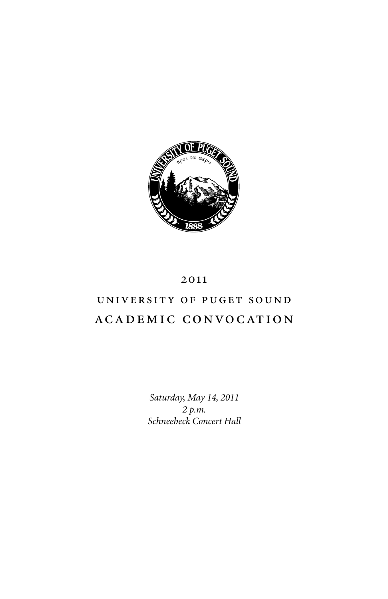

# 2011

# UNIVERSITY OF PUGET SOUND academic convo cation

*Saturday, May 14, 2011 2 p.m. Schneebeck Concert Hall*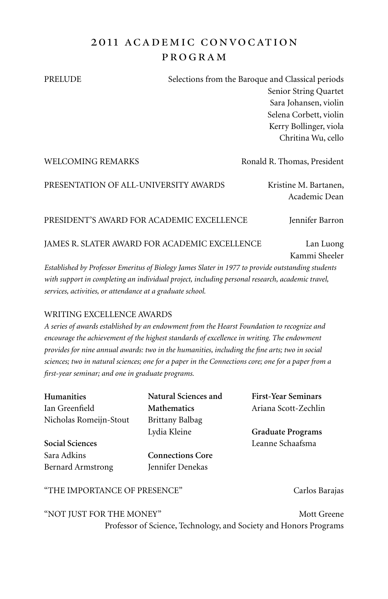# 2011 academic convo cation pro gram

PRELUDE Selections from the Baroque and Classical periods Senior String Quartet Sara Johansen, violin Selena Corbett, violin Kerry Bollinger, viola Chritina Wu, cello

| <b>WELCOMING REMARKS</b>                      | Ronald R. Thomas, President            |
|-----------------------------------------------|----------------------------------------|
| PRESENTATION OF ALL-UNIVERSITY AWARDS         | Kristine M. Bartanen,<br>Academic Dean |
| PRESIDENT'S AWARD FOR ACADEMIC EXCELLENCE     | Jennifer Barron                        |
| JAMES R. SLATER AWARD FOR ACADEMIC EXCELLENCE | Lan Luong                              |

*Established by Professor Emeritus of Biology James Slater in 1977 to provide outstanding students with support in completing an individual project, including personal research, academic travel, services, activities, or attendance at a graduate school.*

### WRITING EXCELLENCE AWARDS

*A series of awards established by an endowment from the Hearst Foundation to recognize and encourage the achievement of the highest standards of excellence in writing. The endowment provides for nine annual awards: two in the humanities, including the fine arts; two in social sciences; two in natural sciences; one for a paper in the Connections core; one for a paper from a first-year seminar; and one in graduate programs.*

| Natural Sciences and    | <b>First-Year Seminars</b> |
|-------------------------|----------------------------|
| <b>Mathematics</b>      | Ariana Scott-Zechlin       |
| Brittany Balbag         |                            |
| Lydia Kleine            | <b>Graduate Programs</b>   |
|                         | Leanne Schaafsma           |
| <b>Connections Core</b> |                            |
| Jennifer Denekas        |                            |
|                         |                            |
|                         |                            |

"the importance of presence" Carlos Barajas

Kammi Sheeler

"Not Just for the Money" Mott Greene Professor of Science, Technology, and Society and Honors Programs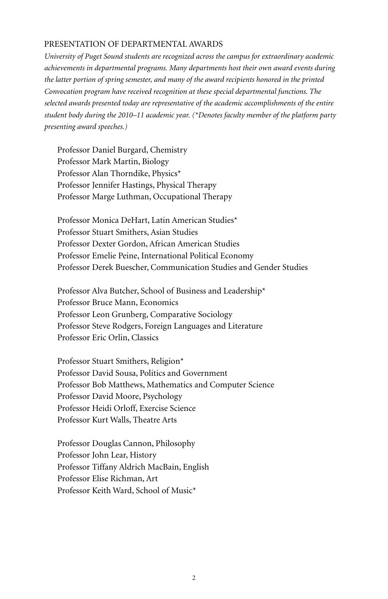#### Presentation of Departmental Awards

*University of Puget Sound students are recognized across the campus for extraordinary academic achievements in departmental programs. Many departments host their own award events during the latter portion of spring semester, and many of the award recipients honored in the printed Convocation program have received recognition at these special departmental functions. The selected awards presented today are representative of the academic accomplishments of the entire student body during the 2010–11 academic year. (\*Denotes faculty member of the platform party presenting award speeches.)*

Professor Daniel Burgard, Chemistry Professor Mark Martin, Biology Professor Alan Thorndike, Physics\* Professor Jennifer Hastings, Physical Therapy Professor Marge Luthman, Occupational Therapy

Professor Monica DeHart, Latin American Studies\* Professor Stuart Smithers, Asian Studies Professor Dexter Gordon, African American Studies Professor Emelie Peine, International Political Economy Professor Derek Buescher, Communication Studies and Gender Studies

Professor Alva Butcher, School of Business and Leadership\* Professor Bruce Mann, Economics Professor Leon Grunberg, Comparative Sociology Professor Steve Rodgers, Foreign Languages and Literature Professor Eric Orlin, Classics

Professor Stuart Smithers, Religion\* Professor David Sousa, Politics and Government Professor Bob Matthews, Mathematics and Computer Science Professor David Moore, Psychology Professor Heidi Orloff, Exercise Science Professor Kurt Walls, Theatre Arts

Professor Douglas Cannon, Philosophy Professor John Lear, History Professor Tiffany Aldrich MacBain, English Professor Elise Richman, Art Professor Keith Ward, School of Music\*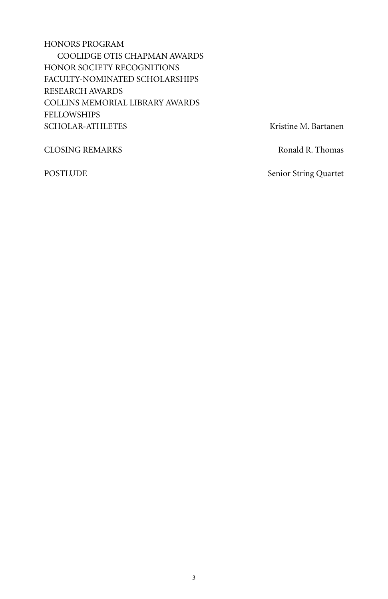Honors Program Coolidge Otis Chapman Awards Honor Society Recognitions Faculty-Nominated Scholarships Research Awards Collins memorial library Awards Fellowships SCHOLAR-ATHLETES Kristine M. Bartanen

CLOSING REMARKS Ronald R. Thomas

POSTLUDE Senior String Quartet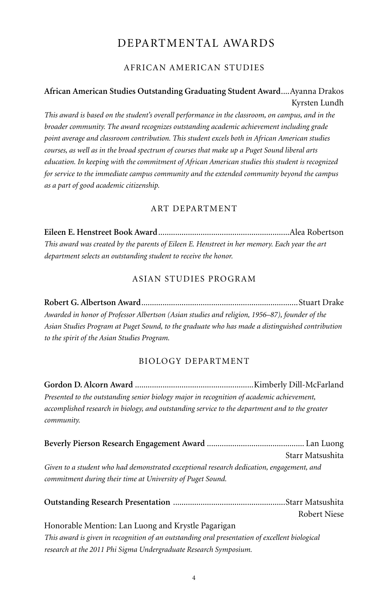# Departmental Awards

# African American Studies

# **African American Studies Outstanding Graduating Student Award**....Ayanna Drakos Kyrsten Lundh

*This award is based on the student's overall performance in the classroom, on campus, and in the broader community. The award recognizes outstanding academic achievement including grade point average and classroom contribution. This student excels both in African American studies courses, as well as in the broad spectrum of courses that make up a Puget Sound liberal arts education. In keeping with the commitment of African American studies this student is recognized for service to the immediate campus community and the extended community beyond the campus as a part of good academic citizenship.*

### Art Department

**Eileen E. Henstreet Book Award**..............................................................Alea Robertson *This award was created by the parents of Eileen E. Henstreet in her memory. Each year the art department selects an outstanding student to receive the honor.* 

# Asian Studies Program

**Robert G. Albertson Award**..........................................................................Stuart Drake *Awarded in honor of Professor Albertson (Asian studies and religion, 1956–87), founder of the Asian Studies Program at Puget Sound, to the graduate who has made a distinguished contribution to the spirit of the Asian Studies Program.*

### Biology Department

**Gordon D. Alcorn Award** ........................................................Kimberly Dill-McFarland *Presented to the outstanding senior biology major in recognition of academic achievement, accomplished research in biology, and outstanding service to the department and to the greater community.*

|                                                                                          | Starr Matsushita |
|------------------------------------------------------------------------------------------|------------------|
| Given to a student who had demonstrated exceptional research dedication, engagement, and |                  |
| commitment during their time at University of Puget Sound.                               |                  |
|                                                                                          |                  |
|                                                                                          |                  |
|                                                                                          | Robert Niese     |

#### Honorable Mention: Lan Luong and Krystle Pagarigan

*This award is given in recognition of an outstanding oral presentation of excellent biological research at the 2011 Phi Sigma Undergraduate Research Symposium.*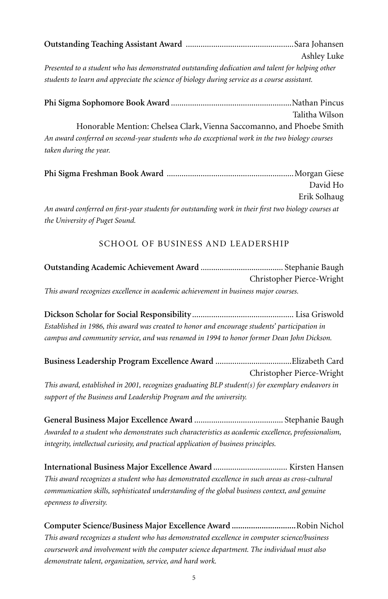|                                                                                                 | Ashley Luke |
|-------------------------------------------------------------------------------------------------|-------------|
| Presented to a student who has demonstrated outstanding dedication and talent for helping other |             |
| students to learn and appreciate the science of biology during service as a course assistant.   |             |

**Phi Sigma Sophomore Book Award** .........................................................Nathan Pincus Talitha Wilson Honorable Mention: Chelsea Clark,Vienna Saccomanno, and Phoebe Smith *An award conferred on second-year students who do exceptional work in the two biology courses taken during the year.*

|                                                                                                      | David Ho     |
|------------------------------------------------------------------------------------------------------|--------------|
|                                                                                                      | Erik Solhaug |
| An award conferred on first-year students for outstanding work in their first two biology courses at |              |
| the University of Puget Sound.                                                                       |              |

### School of Business and Leadership

|                                                                                     | Christopher Pierce-Wright |
|-------------------------------------------------------------------------------------|---------------------------|
| This award recognizes excellence in academic achievement in business major courses. |                           |

**Dickson Scholar for Social Responsibility**................................................ Lisa Griswold *Established in 1986, this award was created to honor and encourage students' participation in campus and community service, and was renamed in 1994 to honor former Dean John Dickson.*

**Business Leadership Program Excellence Award** ....................................Elizabeth Card Christopher Pierce-Wright *This award, established in 2001, recognizes graduating BLP student(s) for exemplary endeavors in support of the Business and Leadership Program and the university.*

**General Business Major Excellence Award** .......................................... Stephanie Baugh *Awarded to a student who demonstrates such characteristics as academic excellence, professionalism, integrity, intellectual curiosity, and practical application of business principles.*

**International Business Major Excellence Award** ................................... Kirsten Hansen *This award recognizes a student who has demonstrated excellence in such areas as cross-cultural communication skills, sophisticated understanding of the global business context, and genuine openness to diversity.*

**Computer Science/Business Major Excellence Award ..............................**Robin Nichol *This award recognizes a student who has demonstrated excellence in computer science/business coursework and involvement with the computer science department. The individual must also demonstrate talent, organization, service, and hard work.*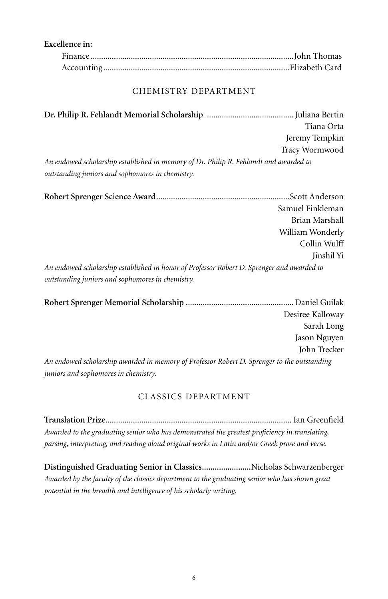| Excellence in: |  |
|----------------|--|
|                |  |
|                |  |

### Chemistry Department

**Dr. Philip R. Fehlandt Memorial Scholarship** .........................................Juliana Bertin Tiana Orta Jeremy Tempkin Tracy Wormwood *An endowed scholarship established in memory of Dr. Philip R. Fehlandt and awarded to outstanding juniors and sophomores in chemistry.*

|                                                                                            | Samuel Finkleman |
|--------------------------------------------------------------------------------------------|------------------|
|                                                                                            | Brian Marshall   |
|                                                                                            | William Wonderly |
|                                                                                            | Collin Wulff     |
|                                                                                            | Jinshil Yi       |
| An endowed scholarship established in honor of Professor Robert D. Sprenger and awarded to |                  |
| outstanding juniors and sophomores in chemistry.                                           |                  |

|                                                                                             | Desiree Kalloway |
|---------------------------------------------------------------------------------------------|------------------|
|                                                                                             | Sarah Long       |
|                                                                                             | Jason Nguyen     |
|                                                                                             | John Trecker     |
| An endowed scholarship awarded in memory of Professor Robert D. Sprenger to the outstanding |                  |
| juniors and sophomores in chemistry.                                                        |                  |

### Classics Department

**Translation Prize**........................................................................................ Ian Greenfield *Awarded to the graduating senior who has demonstrated the greatest proficiency in translating, parsing, interpreting, and reading aloud original works in Latin and/or Greek prose and verse.*

**Distinguished Graduating Senior in Classics.......................**Nicholas Schwarzenberger *Awarded by the faculty of the classics department to the graduating senior who has shown great potential in the breadth and intelligence of his scholarly writing.*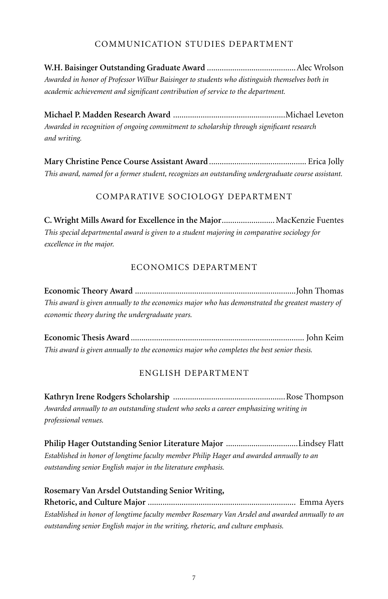# Communication Studies Department

**W.H. Baisinger Outstanding Graduate Award** ..........................................Alec Wrolson *Awarded in honor of Professor Wilbur Baisinger to students who distinguish themselves both in academic achievement and significant contribution of service to the department.*

**Michael P. Madden Research Award** .....................................................Michael Leveton *Awarded in recognition of ongoing commitment to scholarship through significant research and writing.*

**Mary Christine Pence Course Assistant Award**.............................................. Erica Jolly *This award, named for a former student, recognizes an outstanding undergraduate course assistant.*

# Comparative Sociology Department

**C. Wright Mills Award for Excellence in the Major**.........................MacKenzie Fuentes *This special departmental award is given to a student majoring in comparative sociology for excellence in the major.* 

### Economics Department

**Economic Theory Award** ............................................................................John Thomas *This award is given annually to the economics major who has demonstrated the greatest mastery of economic theory during the undergraduate years.* 

**Economic Thesis Award** .................................................................................. John Keim *This award is given annually to the economics major who completes the best senior thesis.*

### English Department

**Kathryn Irene Rodgers Scholarship** .....................................................Rose Thompson *Awarded annually to an outstanding student who seeks a career emphasizing writing in professional venues.*

**Philip Hager Outstanding Senior Literature Major** ..................................Lindsey Flatt *Established in honor of longtime faculty member Philip Hager and awarded annually to an outstanding senior English major in the literature emphasis.*

**Rosemary Van Arsdel Outstanding Senior Writing, Rhetoric, and Culture Major** ...................................................................... Emma Ayers *Established in honor of longtime faculty member Rosemary Van Arsdel and awarded annually to an outstanding senior English major in the writing, rhetoric, and culture emphasis.*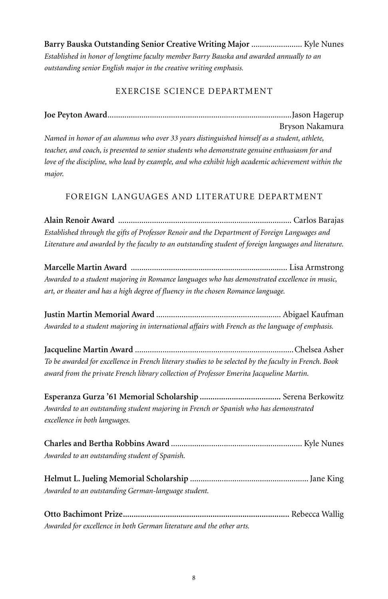**Barry Bauska Outstanding Senior Creative Writing Major** ........................ Kyle Nunes *Established in honor of longtime faculty member Barry Bauska and awarded annually to an outstanding senior English major in the creative writing emphasis.*

# Exercise Science Department

# **Joe Peyton Award**.......................................................................................Jason Hagerup

Bryson Nakamura *Named in honor of an alumnus who over 33 years distinguished himself as a student, athlete, teacher, and coach, is presented to senior students who demonstrate genuine enthusiasm for and love of the discipline, who lead by example, and who exhibit high academic achievement within the major.*

# Foreign Languages and Literature Department

**Alain Renoir Award** .................................................................................. Carlos Barajas *Established through the gifts of Professor Renoir and the Department of Foreign Languages and Literature and awarded by the faculty to an outstanding student of foreign languages and literature.*

**Marcelle Martin Award** .......................................................................... Lisa Armstrong *Awarded to a student majoring in Romance languages who has demonstrated excellence in music, art, or theater and has a high degree of fluency in the chosen Romance language.*

**Justin Martin Memorial Award** ........................................................... Abigael Kaufman *Awarded to a student majoring in international affairs with French as the language of emphasis.*

**Jacqueline Martin Award** ...........................................................................Chelsea Asher *To be awarded for excellence in French literary studies to be selected by the faculty in French. Book award from the private French library collection of Professor Emerita Jacqueline Martin.*

**Esperanza Gurza '61 Memorial Scholarship ......................................** Serena Berkowitz *Awarded to an outstanding student majoring in French or Spanish who has demonstrated excellence in both languages.*

**Charles and Bertha Robbins Award** .............................................................. Kyle Nunes *Awarded to an outstanding student of Spanish.*

**Helmut L. Jueling Memorial Scholarship** ........................................................Jane King *Awarded to an outstanding German-language student.*

**Otto Bachimont Prize..............................................................................** Rebecca Wallig *Awarded for excellence in both German literature and the other arts.*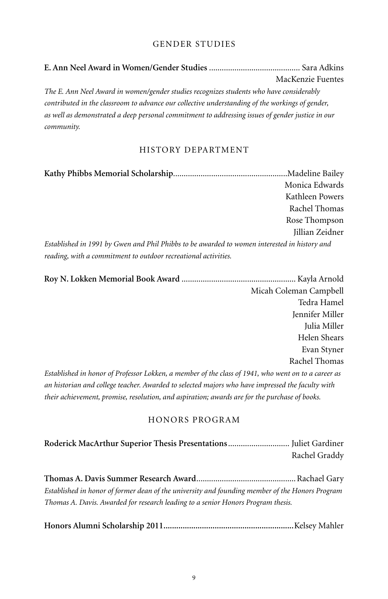# Gender Studies

|                                                                                                  | MacKenzie Fuentes |
|--------------------------------------------------------------------------------------------------|-------------------|
| The E. Ann Neel Award in women/gender studies recognizes students who have considerably          |                   |
| contributed in the classroom to advance our collective understanding of the workings of gender,  |                   |
| as well as demonstrated a deep personal commitment to addressing issues of gender justice in our |                   |
| community.                                                                                       |                   |

# History Department

|                                                                                              | Monica Edwards  |
|----------------------------------------------------------------------------------------------|-----------------|
|                                                                                              | Kathleen Powers |
|                                                                                              | Rachel Thomas   |
|                                                                                              | Rose Thompson   |
|                                                                                              | Jillian Zeidner |
| Established in 1991 by Gwen and Phil Phibbs to be awarded to women interested in history and |                 |
| reading, with a commitment to outdoor recreational activities.                               |                 |

| Micah Coleman Campbell                                                                              |
|-----------------------------------------------------------------------------------------------------|
| Tedra Hamel                                                                                         |
| Jennifer Miller                                                                                     |
| Julia Miller                                                                                        |
| Helen Shears                                                                                        |
| Evan Styner                                                                                         |
| Rachel Thomas                                                                                       |
| Established in honor of Professor Lokken, a member of the class of 1941, who went on to a career as |
| an historian and college teacher. Awarded to selected majors who have impressed the faculty with    |
| their achievement, promise, resolution, and aspiration; awards are for the purchase of books.       |

### Honors Program

| Rachel Graddy |
|---------------|

**Thomas A. Davis Summer Research Award**...............................................Rachael Gary *Established in honor of former dean of the university and founding member of the Honors Program Thomas A. Davis. Awarded for research leading to a senior Honors Program thesis.*

|--|--|--|--|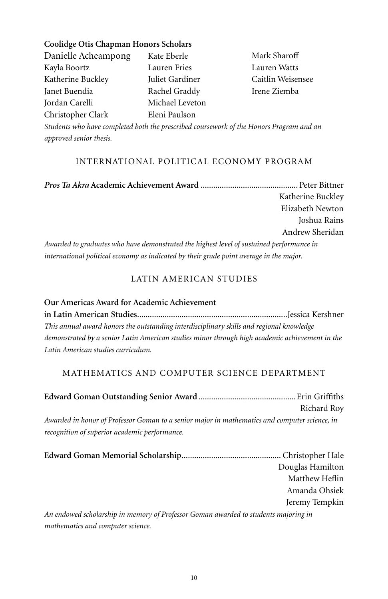**Coolidge Otis Chapman Honors Scholars** Danielle Acheampong Kayla Boortz Katherine Buckley Janet Buendia Jordan Carelli Christopher Clark Kate Eberle Lauren Fries Juliet Gardiner Rachel Graddy Michael Leveton Eleni Paulson

Mark Sharoff Lauren Watts Caitlin Weisensee Irene Ziemba

*Students who have completed both the prescribed coursework of the Honors Program and an approved senior thesis.*

### International Political Economy Program

*Pros Ta Akra* **Academic Achievement Award** .............................................. Peter Bittner Katherine Buckley Elizabeth Newton Joshua Rains Andrew Sheridan *Awarded to graduates who have demonstrated the highest level of sustained performance in international political economy as indicated by their grade point average in the major.*

# Latin American Studies

**Our Americas Award for Academic Achievement in Latin American Studies**.......................................................................Jessica Kershner *This annual award honors the outstanding interdisciplinary skills and regional knowledge demonstrated by a senior Latin American studies minor through high academic achievement in the Latin American studies curriculum.* 

# Mathematics and Computer Science Department

|                                                                                               | Richard Roy      |
|-----------------------------------------------------------------------------------------------|------------------|
|                                                                                               |                  |
| Awarded in honor of Professor Goman to a senior major in mathematics and computer science, in |                  |
| recognition of superior academic performance.                                                 |                  |
|                                                                                               |                  |
|                                                                                               |                  |
|                                                                                               | Douglas Hamilton |
|                                                                                               | Matthew Heflin   |
|                                                                                               | Amanda Ohsiek    |
|                                                                                               | Jeremy Tempkin   |
| An endowed scholarship in memory of Professor Goman awarded to students majoring in           |                  |

*mathematics and computer science.*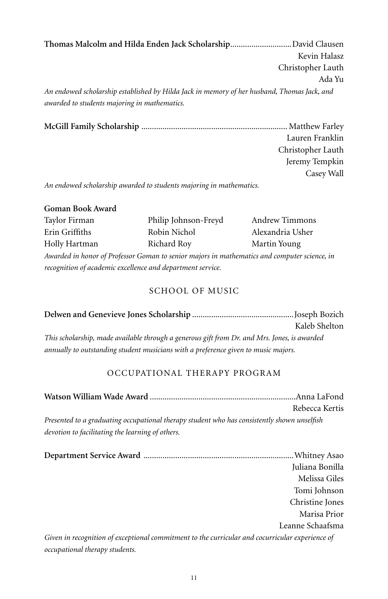**Thomas Malcolm and Hilda Enden Jack Scholarship**.............................David Clausen Kevin Halasz Christopher Lauth Ada Yu *An endowed scholarship established by Hilda Jack in memory of her husband, Thomas Jack, and awarded to students majoring in mathematics.*

**McGill Family Scholarship** ..................................................................... Matthew Farley Lauren Franklin Christopher Lauth Jeremy Tempkin Casey Wall

*An endowed scholarship awarded to students majoring in mathematics.*

| Goman Book Award |  |
|------------------|--|
|------------------|--|

| Taylor Firman                                                                                | Philip Johnson-Freyd | <b>Andrew Timmons</b> |
|----------------------------------------------------------------------------------------------|----------------------|-----------------------|
| Erin Griffiths                                                                               | Robin Nichol         | Alexandria Usher      |
| Holly Hartman                                                                                | Richard Roy          | Martin Young          |
| Awarded in honor of Professor Goman to senior majors in mathematics and computer science, in |                      |                       |
| recognition of academic excellence and department service.                                   |                      |                       |

### SCHOOL OF MUSIC

|                                                                                              | Kaleb Shelton |
|----------------------------------------------------------------------------------------------|---------------|
| This scholarship, made available through a generous gift from Dr. and Mrs. Jones, is awarded |               |
| annually to outstanding student musicians with a preference given to music majors.           |               |

# Occupational Therapy Program

|                                                                                                 | Rebecca Kertis   |
|-------------------------------------------------------------------------------------------------|------------------|
| Presented to a graduating occupational therapy student who has consistently shown unselfish     |                  |
| devotion to facilitating the learning of others.                                                |                  |
|                                                                                                 |                  |
|                                                                                                 | Juliana Bonilla  |
|                                                                                                 | Melissa Giles    |
|                                                                                                 | Tomi Johnson     |
|                                                                                                 | Christine Jones  |
|                                                                                                 | Marisa Prior     |
|                                                                                                 | Leanne Schaafsma |
| Given in recognition of exceptional commitment to the curricular and cocurricular experience of |                  |
| occupational therapy students.                                                                  |                  |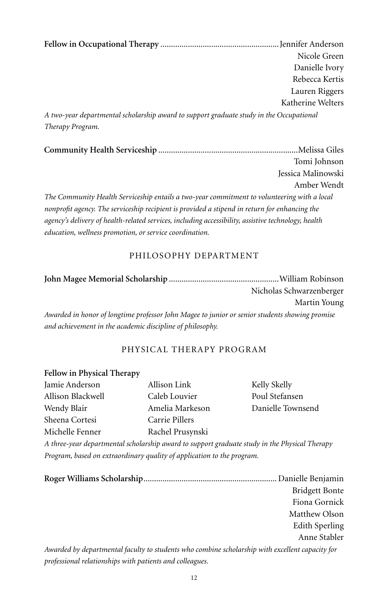**Fellow in Occupational Therapy** ........................................................Jennifer Anderson Nicole Green Danielle Ivory Rebecca Kertis Lauren Riggers Katherine Welters *A two-year departmental scholarship award to support graduate study in the Occupational Therapy Program.*

**Community Health Serviceship** ..................................................................Melissa Giles Tomi Johnson Jessica Malinowski Amber Wendt *The Community Health Serviceship entails a two-year commitment to volunteering with a local nonprofit agency. The serviceship recipient is provided a stipend in return for enhancing the agency's delivery of health-related services, including accessibility, assistive technology, health education, wellness promotion, or service coordination.*

### Philosophy Department

|                                                                                                | Nicholas Schwarzenberger |
|------------------------------------------------------------------------------------------------|--------------------------|
|                                                                                                | Martin Young             |
| Awarded in honor of longtime professor John Magee to junior or senior students showing promise |                          |
| and achievement in the academic discipline of philosophy.                                      |                          |

# Physical Therapy Program

#### **Fellow in Physical Therapy**

| Jamie Anderson    | Allison Link     | Kelly Skelly      |
|-------------------|------------------|-------------------|
| Allison Blackwell | Caleb Louvier    | Poul Stefansen    |
| Wendy Blair       | Amelia Markeson  | Danielle Townsend |
| Sheena Cortesi    | Carrie Pillers   |                   |
| Michelle Fenner   | Rachel Prusynski |                   |

*A three-year departmental scholarship award to support graduate study in the Physical Therapy Program, based on extraordinary quality of application to the program.*

|                                                                                                 | <b>Bridgett Bonte</b> |
|-------------------------------------------------------------------------------------------------|-----------------------|
|                                                                                                 | Fiona Gornick         |
|                                                                                                 | Matthew Olson         |
|                                                                                                 | Edith Sperling        |
|                                                                                                 | Anne Stabler          |
| Awarded by departmental faculty to students who combine scholarship with excellent capacity for |                       |
| professional relationships with patients and colleagues.                                        |                       |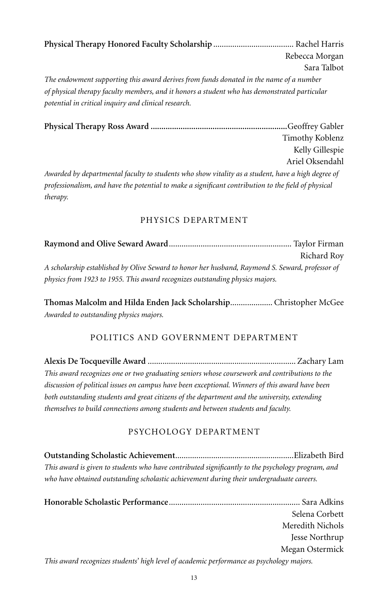**Physical Therapy Honored Faculty Scholarship** ...................................... Rachel Harris Rebecca Morgan Sara Talbot *The endowment supporting this award derives from funds donated in the name of a number of physical therapy faculty members, and it honors a student who has demonstrated particular potential in critical inquiry and clinical research.*

**Physical Therapy Ross Award ................................................................**Geoffrey Gabler Timothy Koblenz Kelly Gillespie Ariel Oksendahl *Awarded by departmental faculty to students who show vitality as a student, have a high degree of professionalism, and have the potential to make a significant contribution to the field of physical therapy.*

# Physics Department

|                                                                                                 | Richard Roy |
|-------------------------------------------------------------------------------------------------|-------------|
| A scholarship established by Olive Seward to honor her husband, Raymond S. Seward, professor of |             |
| physics from 1923 to 1955. This award recognizes outstanding physics majors.                    |             |

**Thomas Malcolm and Hilda Enden Jack Scholarship**.................... Christopher McGee *Awarded to outstanding physics majors.*

# Politics and Government Department

**Alexis De Tocqueville Award** ...................................................................... Zachary Lam *This award recognizes one or two graduating seniors whose coursework and contributions to the discussion of political issues on campus have been exceptional. Winners of this award have been both outstanding students and great citizens of the department and the university, extending themselves to build connections among students and between students and faculty.*

# Psychology Department

**Outstanding Scholastic Achievement**........................................................Elizabeth Bird *This award is given to students who have contributed significantly to the psychology program, and who have obtained outstanding scholastic achievement during their undergraduate careers.*

|                                                                                          | Selena Corbett   |
|------------------------------------------------------------------------------------------|------------------|
|                                                                                          | Meredith Nichols |
|                                                                                          | Jesse Northrup   |
|                                                                                          | Megan Ostermick  |
| This award recognizes students' high level of academic performance as psychology majors. |                  |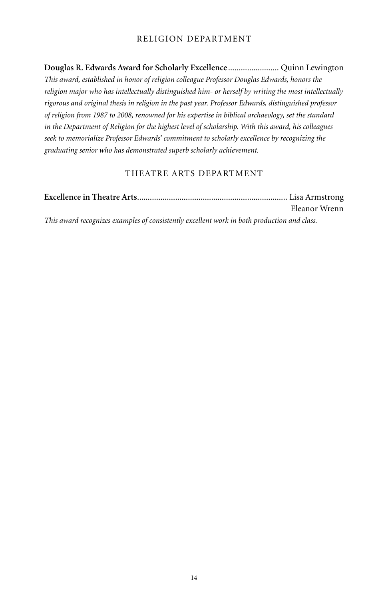# Religion Department

**Douglas R. Edwards Award for Scholarly Excellence**........................ Quinn Lewington *This award, established in honor of religion colleague Professor Douglas Edwards, honors the religion major who has intellectually distinguished him- or herself by writing the most intellectually rigorous and original thesis in religion in the past year. Professor Edwards, distinguished professor of religion from 1987 to 2008, renowned for his expertise in biblical archaeology, set the standard in the Department of Religion for the highest level of scholarship. With this award, his colleagues seek to memorialize Professor Edwards' commitment to scholarly excellence by recognizing the graduating senior who has demonstrated superb scholarly achievement.*

# Theatre Arts Department

|                                                                                             | Eleanor Wrenn |
|---------------------------------------------------------------------------------------------|---------------|
| This award recognizes examples of consistently excellent work in both production and class. |               |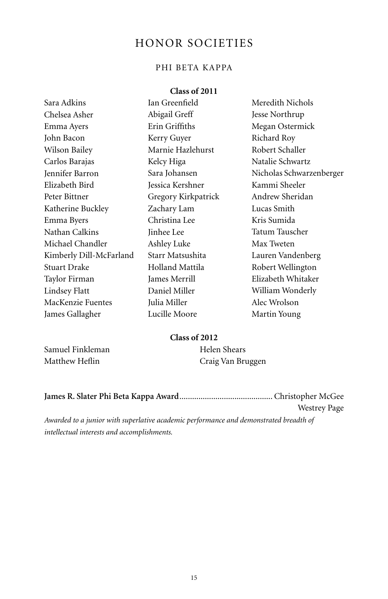# HONOR SOCIETIES

# Phi Beta Kappa

### **Class of 2011**

| Sara Adkins             | Ian Greenfield      | Meredith Nichols         |
|-------------------------|---------------------|--------------------------|
| Chelsea Asher           | Abigail Greff       | Jesse Northrup           |
| Emma Ayers              | Erin Griffiths      | Megan Ostermick          |
| John Bacon              | Kerry Guyer         | Richard Roy              |
| Wilson Bailey           | Marnie Hazlehurst   | Robert Schaller          |
| Carlos Barajas          | Kelcy Higa          | Natalie Schwartz         |
| Jennifer Barron         | Sara Johansen       | Nicholas Schwarzenberger |
| Elizabeth Bird          | Jessica Kershner    | Kammi Sheeler            |
| Peter Bittner           | Gregory Kirkpatrick | Andrew Sheridan          |
| Katherine Buckley       | Zachary Lam         | Lucas Smith              |
| Emma Byers              | Christina Lee       | Kris Sumida              |
| Nathan Calkins          | Jinhee Lee          | Tatum Tauscher           |
| Michael Chandler        | Ashley Luke         | Max Tweten               |
| Kimberly Dill-McFarland | Starr Matsushita    | Lauren Vandenberg        |
| <b>Stuart Drake</b>     | Holland Mattila     | Robert Wellington        |
| Taylor Firman           | James Merrill       | Elizabeth Whitaker       |
| Lindsey Flatt           | Daniel Miller       | William Wonderly         |
| MacKenzie Fuentes       | Julia Miller        | Alec Wrolson             |
| James Gallagher         | Lucille Moore       | Martin Young             |

# **Class of 2012**

Samuel Finkleman Matthew Heflin

Helen Shears Craig Van Bruggen

| <b>Westrey Page</b> |
|---------------------|

*Awarded to a junior with superlative academic performance and demonstrated breadth of intellectual interests and accomplishments.*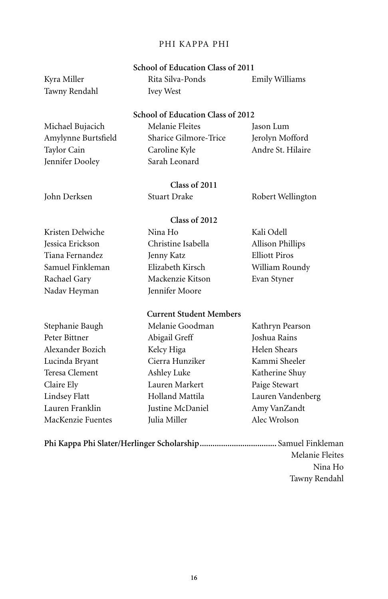#### Phi Kappa Phi

### **School of Education Class of 2011**

Kyra Miller Tawny Rendahl

#### Rita Silva-Ponds Ivey West Emily Williams

#### **School of Education Class of 2012**

Michael Bujacich Amylynne Burtsfield Taylor Cain Jennifer Dooley

Melanie Fleites Sharice Gilmore-Trice Caroline Kyle Sarah Leonard

Jason Lum Jerolyn Mofford Andre St. Hilaire

**Class of 2011** John Derksen Stuart Drake Robert Wellington

> Nina Ho Christine Isabella Jenny Katz Elizabeth Kirsch Mackenzie Kitson Jennifer Moore

Kali Odell Allison Phillips Elliott Piros William Roundy Evan Styner

# Kristen Delwiche Jessica Erickson Tiana Fernandez Samuel Finkleman

Rachael Gary Nadav Heyman

Stephanie Baugh Peter Bittner Alexander Bozich Lucinda Bryant Teresa Clement Claire Ely Lindsey Flatt Lauren Franklin MacKenzie Fuentes

# **Current Student Members**

**Class of 2012**

Melanie Goodman Abigail Greff Kelcy Higa Cierra Hunziker Ashley Luke Lauren Markert Holland Mattila Justine McDaniel Julia Miller

Kathryn Pearson Joshua Rains Helen Shears Kammi Sheeler Katherine Shuy Paige Stewart Lauren Vandenberg Amy VanZandt Alec Wrolson

**Phi Kappa Phi Slater/Herlinger Scholarship....................................** Samuel Finkleman Melanie Fleites Nina Ho Tawny Rendahl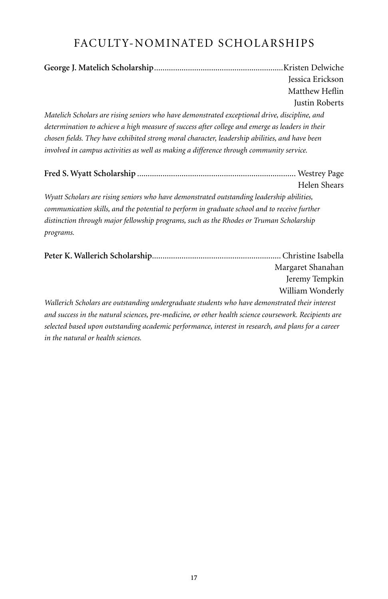# Faculty-Nominated Scholarships

|                                                                                                                                                                                                                                                                                              | Jessica Erickson<br>Matthew Heflin<br>Justin Roberts |  |  |
|----------------------------------------------------------------------------------------------------------------------------------------------------------------------------------------------------------------------------------------------------------------------------------------------|------------------------------------------------------|--|--|
| Matelich Scholars are rising seniors who have demonstrated exceptional drive, discipline, and                                                                                                                                                                                                |                                                      |  |  |
| determination to achieve a high measure of success after college and emerge as leaders in their<br>chosen fields. They have exhibited strong moral character, leadership abilities, and have been<br>involved in campus activities as well as making a difference through community service. |                                                      |  |  |
|                                                                                                                                                                                                                                                                                              | Helen Shears                                         |  |  |
| Wyatt Scholars are rising seniors who have demonstrated outstanding leadership abilities,                                                                                                                                                                                                    |                                                      |  |  |
| communication skills, and the potential to perform in graduate school and to receive further                                                                                                                                                                                                 |                                                      |  |  |
| distinction through major fellowship programs, such as the Rhodes or Truman Scholarship<br>programs.                                                                                                                                                                                         |                                                      |  |  |
|                                                                                                                                                                                                                                                                                              | Margaret Shanahan                                    |  |  |

Jeremy Tempkin William Wonderly

*Wallerich Scholars are outstanding undergraduate students who have demonstrated their interest and success in the natural sciences, pre-medicine, or other health science coursework. Recipients are selected based upon outstanding academic performance, interest in research, and plans for a career in the natural or health sciences.*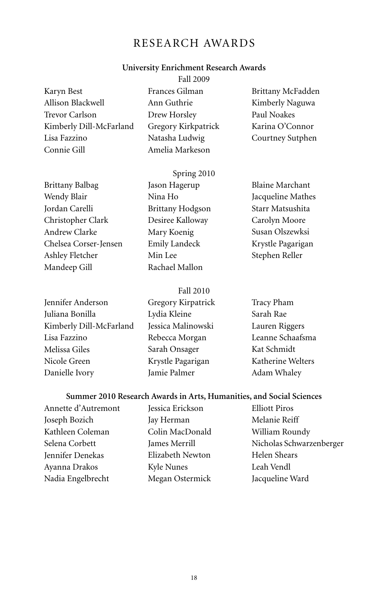# Research Awards

#### **University Enrichment Research Awards**

|                         | <b>Fall 2009</b>    |                   |
|-------------------------|---------------------|-------------------|
| Karyn Best              | Frances Gilman      | Brittany McFadden |
| Allison Blackwell       | Ann Guthrie         | Kimberly Naguwa   |
| Trevor Carlson          | Drew Horsley        | Paul Noakes       |
| Kimberly Dill-McFarland | Gregory Kirkpatrick | Karina O'Connor   |
| Lisa Fazzino            | Natasha Ludwig      | Courtney Sutphen  |
| Connie Gill             | Amelia Markeson     |                   |
|                         |                     |                   |

Brittany Balbag Wendy Blair Jordan Carelli Christopher Clark Andrew Clarke Chelsea Corser-Jensen Ashley Fletcher Mandeep Gill

Spring 2010 Jason Hagerup Nina Ho Brittany Hodgson Desiree Kalloway Mary Koenig Emily Landeck Min Lee Rachael Mallon

Blaine Marchant Jacqueline Mathes Starr Matsushita Carolyn Moore Susan Olszewksi Krystle Pagarigan Stephen Reller

Jennifer Anderson Juliana Bonilla Kimberly Dill-McFarland Lisa Fazzino Melissa Giles Nicole Green Danielle Ivory

Fall 2010 Gregory Kirpatrick Lydia Kleine Jessica Malinowski Rebecca Morgan Sarah Onsager Krystle Pagarigan Jamie Palmer

Tracy Pham Sarah Rae Lauren Riggers Leanne Schaafsma Kat Schmidt Katherine Welters Adam Whaley

#### **Summer 2010 Research Awards in Arts, Humanities, and Social Sciences**

Annette d'Autremont Joseph Bozich Kathleen Coleman Selena Corbett Jennifer Denekas Ayanna Drakos Nadia Engelbrecht

Jessica Erickson Jay Herman Colin MacDonald James Merrill Elizabeth Newton Kyle Nunes Megan Ostermick Elliott Piros Melanie Reiff William Roundy Nicholas Schwarzenberger Helen Shears Leah Vendl Jacqueline Ward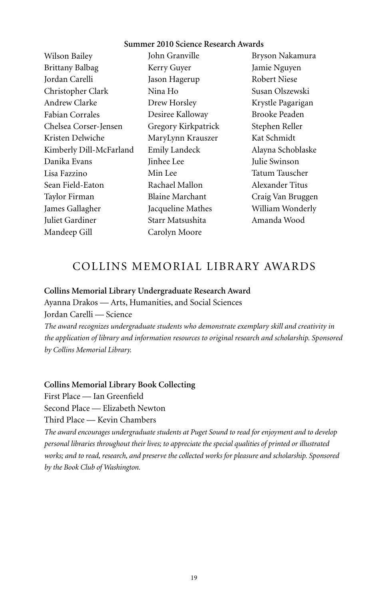#### **Summer 2010 Science Research Awards**

Wilson Bailey Brittany Balbag Jordan Carelli Christopher Clark Andrew Clarke Fabian Corrales Chelsea Corser-Jensen Kristen Delwiche Kimberly Dill-McFarland Danika Evans Lisa Fazzino Sean Field-Eaton Taylor Firman James Gallagher Juliet Gardiner Mandeep Gill

John Granville Kerry Guyer Jason Hagerup Nina Ho Drew Horsley Desiree Kalloway Gregory Kirkpatrick MaryLynn Krauszer Emily Landeck Jinhee Lee Min Lee Rachael Mallon Blaine Marchant Jacqueline Mathes Starr Matsushita Carolyn Moore

Bryson Nakamura Jamie Nguyen Robert Niese Susan Olszewski Krystle Pagarigan Brooke Peaden Stephen Reller Kat Schmidt Alayna Schoblaske Julie Swinson Tatum Tauscher Alexander Titus Craig Van Bruggen William Wonderly Amanda Wood

# collins memorial Library Awards

#### **Collins Memorial Library Undergraduate Research Award**

Ayanna Drakos — Arts, Humanities, and Social Sciences Jordan Carelli — Science

*The award recognizes undergraduate students who demonstrate exemplary skill and creativity in the application of library and information resources to original research and scholarship. Sponsored by Collins Memorial Library.* 

#### **Collins Memorial Library Book Collecting**

First Place — Ian Greenfield

Second Place — Elizabeth Newton

Third Place — Kevin Chambers

*The award encourages undergraduate students at Puget Sound to read for enjoyment and to develop personal libraries throughout their lives; to appreciate the special qualities of printed or illustrated works; and to read, research, and preserve the collected works for pleasure and scholarship. Sponsored by the Book Club of Washington.*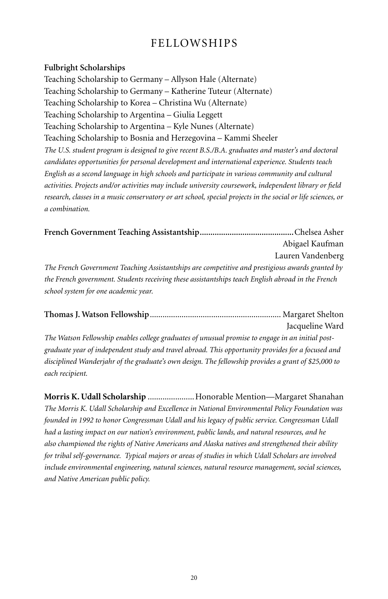# Fellowships

### **Fulbright Scholarships**

Teaching Scholarship to Germany – Allyson Hale (Alternate) Teaching Scholarship to Germany – Katherine Tuteur (Alternate) Teaching Scholarship to Korea – Christina Wu (Alternate) Teaching Scholarship to Argentina – Giulia Leggett Teaching Scholarship to Argentina – Kyle Nunes (Alternate) Teaching Scholarship to Bosnia and Herzegovina – Kammi Sheeler *The U.S. student program is designed to give recent B.S./B.A. graduates and master's and doctoral candidates opportunities for personal development and international experience. Students teach English as a second language in high schools and participate in various community and cultural activities. Projects and/or activities may include university coursework, independent library or field research, classes in a music conservatory or art school, special projects in the social or life sciences, or a combination.*

**French Government Teaching Assistantship............................................**Chelsea Asher Abigael Kaufman Lauren Vandenberg *The French Government Teaching Assistantships are competitive and prestigious awards granted by the French government. Students receiving these assistantships teach English abroad in the French school system for one academic year.*

**Thomas J. Watson Fellowship**.............................................................. Margaret Shelton Jacqueline Ward

*The Watson Fellowship enables college graduates of unusual promise to engage in an initial postgraduate year of independent study and travel abroad. This opportunity provides for a focused and disciplined Wanderjahr of the graduate's own design. The fellowship provides a grant of \$25,000 to each recipient.*

**Morris K. Udall Scholarship** ......................Honorable Mention—Margaret Shanahan *The Morris K. Udall Scholarship and Excellence in National Environmental Policy Foundation was founded in 1992 to honor Congressman Udall and his legacy of public service. Congressman Udall had a lasting impact on our nation's environment, public lands, and natural resources, and he also championed the rights of Native Americans and Alaska natives and strengthened their ability for tribal self-governance. Typical majors or areas of studies in which Udall Scholars are involved include environmental engineering, natural sciences, natural resource management, social sciences, and Native American public policy.*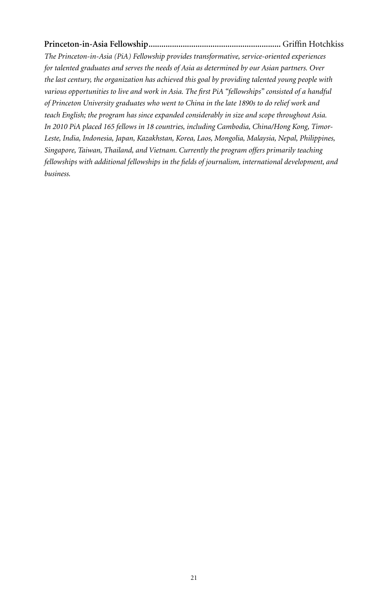# **Princeton-in-Asia Fellowship..............................................................** Griffin Hotchkiss

*The Princeton-in-Asia (PiA) Fellowship provides transformative, service-oriented experiences for talented graduates and serves the needs of Asia as determined by our Asian partners. Over the last century, the organization has achieved this goal by providing talented young people with various opportunities to live and work in Asia. The first PiA "fellowships" consisted of a handful of Princeton University graduates who went to China in the late 1890s to do relief work and teach English; the program has since expanded considerably in size and scope throughout Asia. In 2010 PiA placed 165 fellows in 18 countries, including Cambodia, China/Hong Kong, Timor-Leste, India, Indonesia, Japan, Kazakhstan, Korea, Laos, Mongolia, Malaysia, Nepal, Philippines, Singapore, Taiwan, Thailand, and Vietnam. Currently the program offers primarily teaching fellowships with additional fellowships in the fields of journalism, international development, and business.*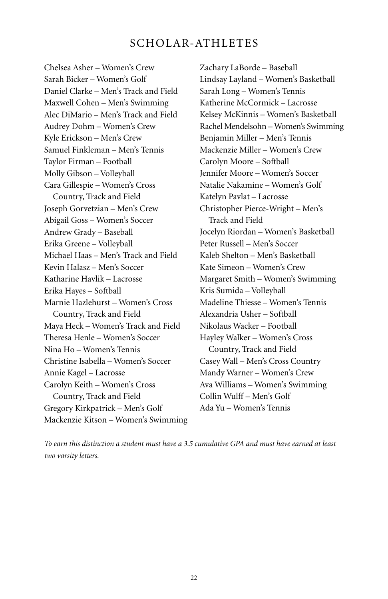# SCHOLAR-ATHLETES

Chelsea Asher – Women's Crew Sarah Bicker – Women's Golf Daniel Clarke – Men's Track and Field Maxwell Cohen – Men's Swimming Alec DiMario – Men's Track and Field Audrey Dohm – Women's Crew Kyle Erickson – Men's Crew Samuel Finkleman – Men's Tennis Taylor Firman – Football Molly Gibson – Volleyball Cara Gillespie – Women's Cross Country, Track and Field Joseph Gorvetzian – Men's Crew Abigail Goss – Women's Soccer Andrew Grady – Baseball Erika Greene – Volleyball Michael Haas – Men's Track and Field Kevin Halasz – Men's Soccer Katharine Havlik – Lacrosse Erika Hayes – Softball Marnie Hazlehurst – Women's Cross Country, Track and Field Maya Heck – Women's Track and Field Theresa Henle – Women's Soccer Nina Ho – Women's Tennis Christine Isabella – Women's Soccer Annie Kagel – Lacrosse Carolyn Keith – Women's Cross Country, Track and Field Gregory Kirkpatrick – Men's Golf Mackenzie Kitson – Women's Swimming

Zachary LaBorde – Baseball Lindsay Layland – Women's Basketball Sarah Long – Women's Tennis Katherine McCormick – Lacrosse Kelsey McKinnis – Women's Basketball Rachel Mendelsohn – Women's Swimming Benjamin Miller – Men's Tennis Mackenzie Miller – Women's Crew Carolyn Moore – Softball Jennifer Moore – Women's Soccer Natalie Nakamine – Women's Golf Katelyn Pavlat – Lacrosse Christopher Pierce-Wright – Men's Track and Field Jocelyn Riordan – Women's Basketball Peter Russell – Men's Soccer Kaleb Shelton – Men's Basketball Kate Simeon – Women's Crew Margaret Smith – Women's Swimming Kris Sumida – Volleyball Madeline Thiesse – Women's Tennis Alexandria Usher – Softball Nikolaus Wacker – Football Hayley Walker – Women's Cross Country, Track and Field Casey Wall – Men's Cross Country Mandy Warner – Women's Crew Ava Williams – Women's Swimming Collin Wulff – Men's Golf Ada Yu – Women's Tennis

*To earn this distinction a student must have a 3.5 cumulative GPA and must have earned at least two varsity letters.*